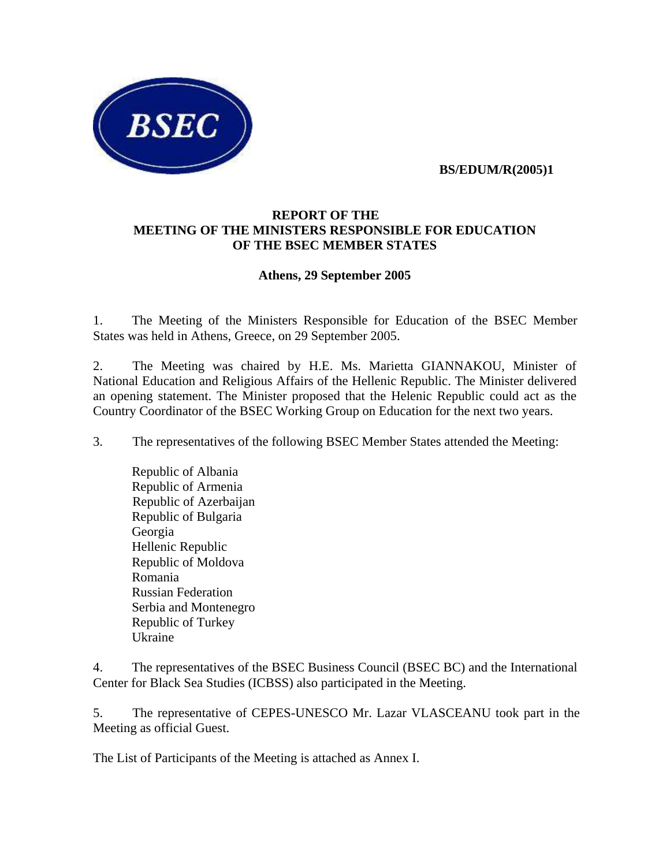

 **BS/EDUM/R(2005)1** 

## **REPORT OF THE MEETING OF THE MINISTERS RESPONSIBLE FOR EDUCATION OF THE BSEC MEMBER STATES**

## **Athens, 29 September 2005**

1. The Meeting of the Ministers Responsible for Education of the BSEC Member States was held in Athens, Greece, on 29 September 2005.

2. The Meeting was chaired by H.E. Ms. Marietta GIANNAKOU, Minister of National Education and Religious Affairs of the Hellenic Republic. The Minister delivered an opening statement. The Minister proposed that the Helenic Republic could act as the Country Coordinator of the BSEC Working Group on Education for the next two years.

3. The representatives of the following BSEC Member States attended the Meeting:

 Republic of Albania Republic of Armenia Republic of Azerbaijan Republic of Bulgaria Georgia Hellenic Republic Republic of Moldova Romania Russian Federation Serbia and Montenegro Republic of Turkey Ukraine

4. The representatives of the BSEC Business Council (BSEC BC) and the International Center for Black Sea Studies (ICBSS) also participated in the Meeting.

5. The representative of CEPES-UNESCO Mr. Lazar VLASCEANU took part in the Meeting as official Guest.

The List of Participants of the Meeting is attached as Annex I.